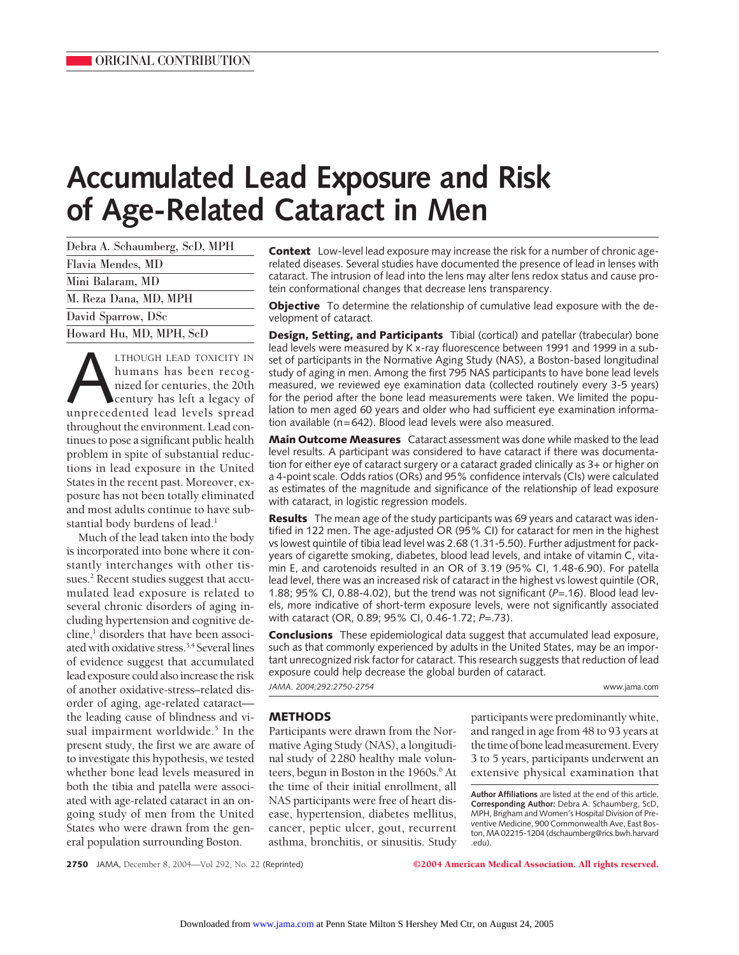# **Accumulated Lead Exposure and Risk of Age-Related Cataract in Men**

| Debra A. Schaumberg, ScD, MPH |
|-------------------------------|
| Flavia Mendes, MD             |
| Mini Balaram, MD              |
| M. Reza Dana, MD, MPH         |
| David Sparrow, DSc            |
| Howard Hu, MD, MPH, ScD       |

**ALTHOUGH LEAD TOXICITY IN**<br>humans has been recog-<br>nized for centuries, the 20th<br>unprecedented lead levels spread humans has been recognized for centuries, the 20th century has left a legacy of throughout the environment. Lead continues to pose a significant public health problem in spite of substantial reductions in lead exposure in the United States in the recent past. Moreover, exposure has not been totally eliminated and most adults continue to have substantial body burdens of lead.<sup>1</sup>

Much of the lead taken into the body is incorporated into bone where it constantly interchanges with other tissues.<sup>2</sup> Recent studies suggest that accumulated lead exposure is related to several chronic disorders of aging including hypertension and cognitive de $cline<sup>1</sup>$ , disorders that have been associated with oxidative stress.<sup>3,4</sup> Several lines of evidence suggest that accumulated lead exposure could also increase the risk of another oxidative-stress–related disorder of aging, age-related cataract the leading cause of blindness and visual impairment worldwide.<sup>5</sup> In the present study, the first we are aware of to investigate this hypothesis, we tested whether bone lead levels measured in both the tibia and patella were associated with age-related cataract in an ongoing study of men from the United States who were drawn from the general population surrounding Boston.

**Context** Low-level lead exposure may increase the risk for a number of chronic agerelated diseases. Several studies have documented the presence of lead in lenses with cataract. The intrusion of lead into the lens may alter lens redox status and cause protein conformational changes that decrease lens transparency.

**Objective** To determine the relationship of cumulative lead exposure with the development of cataract.

**Design, Setting, and Participants** Tibial (cortical) and patellar (trabecular) bone lead levels were measured by K x-ray fluorescence between 1991 and 1999 in a subset of participants in the Normative Aging Study (NAS), a Boston-based longitudinal study of aging in men. Among the first 795 NAS participants to have bone lead levels measured, we reviewed eye examination data (collected routinely every 3-5 years) for the period after the bone lead measurements were taken. We limited the population to men aged 60 years and older who had sufficient eye examination information available (n=642). Blood lead levels were also measured.

**Main Outcome Measures** Cataract assessment was done while masked to the lead level results. A participant was considered to have cataract if there was documentation for either eye of cataract surgery or a cataract graded clinically as 3+ or higher on a 4-point scale. Odds ratios (ORs) and 95% confidence intervals (CIs) were calculated as estimates of the magnitude and significance of the relationship of lead exposure with cataract, in logistic regression models.

**Results** The mean age of the study participants was 69 years and cataract was identified in 122 men. The age-adjusted OR (95% CI) for cataract for men in the highest vs lowest quintile of tibia lead level was 2.68 (1.31-5.50). Further adjustment for packyears of cigarette smoking, diabetes, blood lead levels, and intake of vitamin C, vitamin E, and carotenoids resulted in an OR of 3.19 (95% CI, 1.48-6.90). For patella lead level, there was an increased risk of cataract in the highest vs lowest quintile (OR, 1.88; 95% CI, 0.88-4.02), but the trend was not significant (*P*=.16). Blood lead levels, more indicative of short-term exposure levels, were not significantly associated with cataract (OR, 0.89; 95% CI, 0.46-1.72; *P*=.73).

**Conclusions** These epidemiological data suggest that accumulated lead exposure, such as that commonly experienced by adults in the United States, may be an important unrecognized risk factor for cataract. This research suggests that reduction of lead exposure could help decrease the global burden of cataract.

*JAMA. 2004;292:2750-2754* www.jama.com

# **METHODS**

Participants were drawn from the Normative Aging Study (NAS), a longitudinal study of 2280 healthy male volunteers, begun in Boston in the 1960s.<sup>6</sup> At the time of their initial enrollment, all NAS participants were free of heart disease, hypertension, diabetes mellitus, cancer, peptic ulcer, gout, recurrent asthma, bronchitis, or sinusitis. Study

participants were predominantly white, and ranged in age from 48 to 93 years at the time of bone lead measurement. Every 3 to 5 years, participants underwent an extensive physical examination that

**Author Affiliations** are listed at the end of this article. **Corresponding Author:** Debra A. Schaumberg, ScD, MPH, Brigham and Women's Hospital Division of Preventive Medicine, 900 Commonwealth Ave, East Boston, MA 02215-1204 (dschaumberg@rics.bwh.harvard .edu).

**2750** JAMA, December 8, 2004—Vol 292, No. 22 (Reprinted) ©2004 American Medical Association. All rights reserved.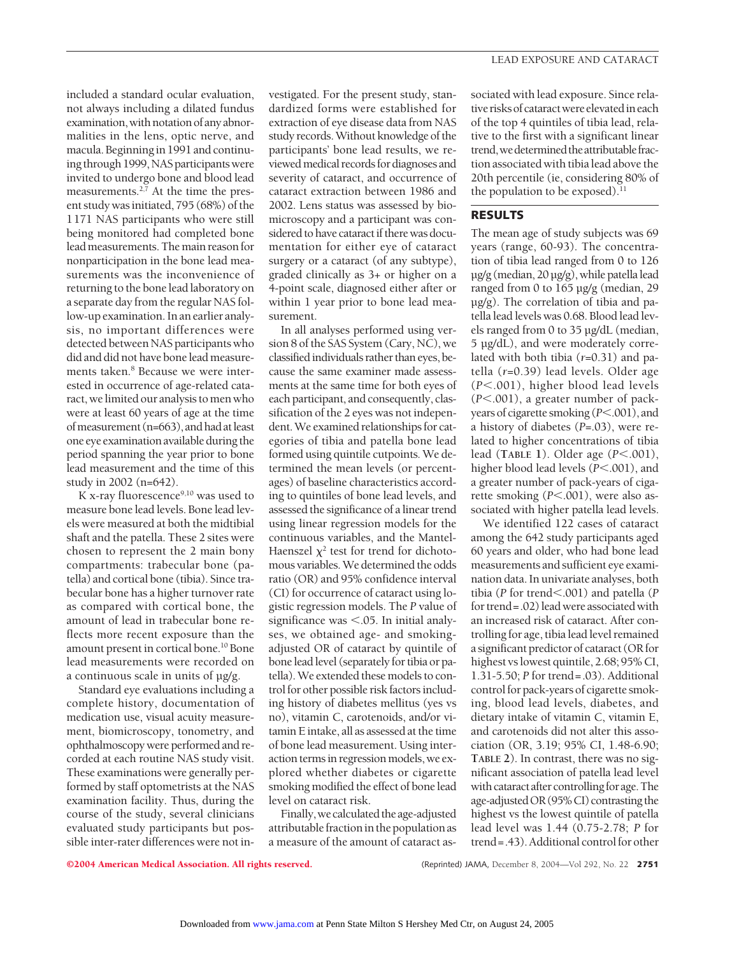included a standard ocular evaluation, not always including a dilated fundus examination, with notation of any abnormalities in the lens, optic nerve, and macula. Beginning in 1991 and continuing through 1999, NAS participants were invited to undergo bone and blood lead measurements.<sup>2,7</sup> At the time the present study wasinitiated, 795 (68%) of the 1171 NAS participants who were still being monitored had completed bone lead measurements. The main reason for nonparticipation in the bone lead measurements was the inconvenience of returning to the bone lead laboratory on a separate day from the regular NAS follow-up examination. In an earlier analysis, no important differences were detected between NAS participants who did and did not have bone lead measurements taken.<sup>8</sup> Because we were interested in occurrence of age-related cataract, welimited our analysis to men who were at least 60 years of age at the time ofmeasurement (n=663), and had atleast one eye examination available during the period spanning the year prior to bone lead measurement and the time of this study in 2002 (n=642).

K x-ray fluorescence<sup>9,10</sup> was used to measure bone lead levels. Bone lead levels were measured at both the midtibial shaft and the patella. These 2 sites were chosen to represent the 2 main bony compartments: trabecular bone (patella) and cortical bone (tibia). Since trabecular bone has a higher turnover rate as compared with cortical bone, the amount of lead in trabecular bone reflects more recent exposure than the amount present in cortical bone.10 Bone lead measurements were recorded on a continuous scale in units of µg/g.

Standard eye evaluations including a complete history, documentation of medication use, visual acuity measurement, biomicroscopy, tonometry, and ophthalmoscopy were performed and recorded at each routine NAS study visit. These examinations were generally performed by staff optometrists at the NAS examination facility. Thus, during the course of the study, several clinicians evaluated study participants but possible inter-rater differences were not investigated. For the present study, standardized forms were established for extraction of eye disease data from NAS study records.Without knowledge of the participants' bone lead results, we reviewed medical records for diagnoses and severity of cataract, and occurrence of cataract extraction between 1986 and 2002. Lens status was assessed by biomicroscopy and a participant was considered to have cataract if there was documentation for either eye of cataract surgery or a cataract (of any subtype), graded clinically as 3+ or higher on a 4-point scale, diagnosed either after or within 1 year prior to bone lead measurement.

In all analyses performed using version 8 of the SAS System (Cary, NC), we classified individuals rather than eyes, because the same examiner made assessments at the same time for both eyes of each participant, and consequently, classification of the 2 eyes was not independent. We examined relationships for categories of tibia and patella bone lead formed using quintile cutpoints*.*We determined the mean levels (or percentages) of baseline characteristics according to quintiles of bone lead levels, and assessed the significance of a linear trend using linear regression models for the continuous variables, and the Mantel-Haenszel  $\chi^2$  test for trend for dichotomous variables.We determined the odds ratio (OR) and 95% confidence interval (CI) for occurrence of cataract using logistic regression models. The *P* value of significance was  $<$ .05. In initial analyses, we obtained age- and smokingadjusted OR of cataract by quintile of bone lead level (separately for tibia or patella).We extended these models to control for other possible risk factors including history of diabetes mellitus (yes vs no), vitamin C, carotenoids, and/or vitamin E intake, all as assessed at the time of bone lead measurement. Using interaction termsin regression models, we explored whether diabetes or cigarette smoking modified the effect of bone lead level on cataract risk.

Finally,wecalculated theage-adjusted attributable fraction in the population as a measure of the amount of cataract associated with lead exposure. Since relative risks of cataract were elevated in each of the top 4 quintiles of tibia lead, relative to the first with a significant linear trend, we determined the attributable fraction associated with tibia lead above the 20th percentile (ie, considering 80% of the population to be exposed).<sup>11</sup>

## **RESULTS**

The mean age of study subjects was 69 years (range, 60-93). The concentration of tibia lead ranged from 0 to 126 µg/g (median, 20 µg/g), while patellalead ranged from 0 to 165 µg/g (median, 29 µg/g). The correlation of tibia and patella lead levels was 0.68. Blood lead levels ranged from 0 to 35 µg/dL (median, 5 µg/dL), and were moderately correlated with both tibia (*r*=0.31) and patella (*r*=0.39) lead levels. Older age (*P*-.001), higher blood lead levels (*P*-.001), a greater number of packyears of cigarette smoking (P<.001), and a history of diabetes (*P*=.03), were related to higher concentrations of tibia lead (**TABLE 1**). Older age (*P*-.001), higher blood lead levels (P<.001), and a greater number of pack-years of cigarette smoking (P<.001), were also associated with higher patella lead levels.

We identified 122 cases of cataract among the 642 study participants aged 60 years and older, who had bone lead measurements and sufficient eye examination data. In univariate analyses, both tibia (P for trend<.001) and patella (P for trend =  $.02$ ) lead were associated with an increased risk of cataract. After controllingfor age, tibia lead level remained a significant predictor of cataract (ORfor highest vs lowest quintile, 2.68; 95% CI, 1.31-5.50; *P* for trend=.03). Additional control for pack-years of cigarette smoking, blood lead levels, diabetes, and dietary intake of vitamin C, vitamin E, and carotenoids did not alter this association (OR, 3.19; 95% CI, 1.48-6.90; **TABLE 2**). In contrast, there was no significant association of patella lead level with cataract after controlling for age. The age-adjusted OR (95% CI) contrasting the highest vs the lowest quintile of patella lead level was 1.44 (0.75-2.78; *P* for trend = .43). Additional control for other

©2004 American Medical Association. All rights reserved. (Reprinted) JAMA, December 8, 2004—Vol 292, No. 22 **2751**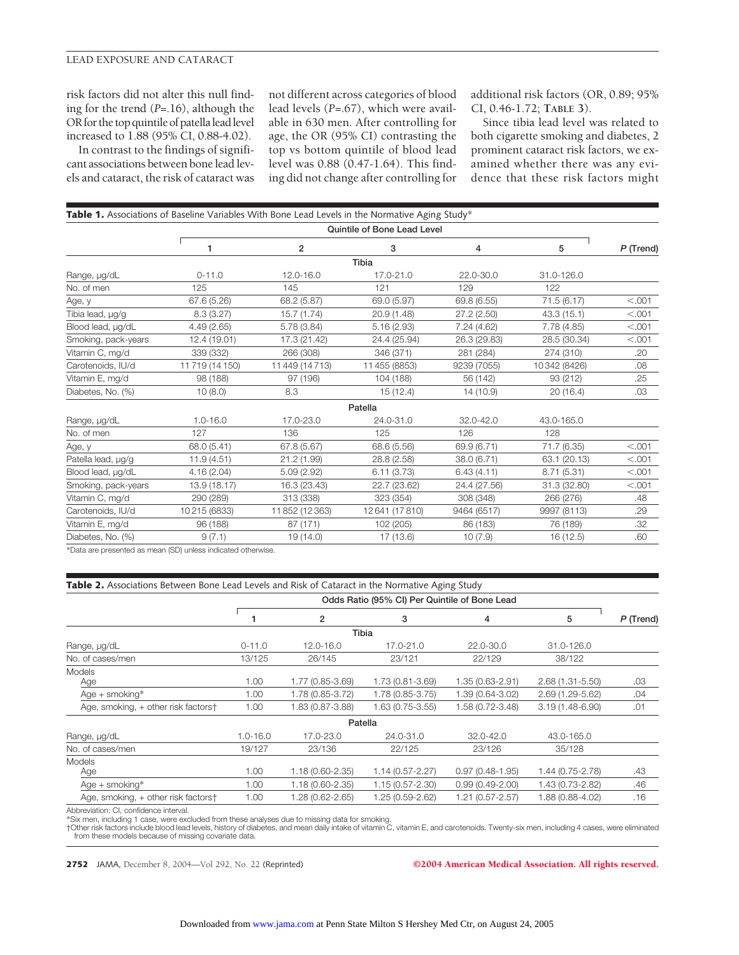#### LEAD EXPOSURE AND CATARACT

risk factors did not alter this null finding for the trend (*P*=.16), although the OR for the top quintile of patella lead level increased to 1.88 (95% CI, 0.88-4.02).

In contrast to the findings of significant associations between bone lead levels and cataract, the risk of cataract was not different across categories of blood lead levels (*P*=.67), which were available in 630 men. After controlling for age, the OR (95% CI) contrasting the top vs bottom quintile of blood lead level was 0.88 (0.47-1.64). This finding did not change after controlling for

additional risk factors (OR, 0.89; 95% CI, 0.46-1.72; **TABLE 3**).

Since tibia lead level was related to both cigarette smoking and diabetes, 2 prominent cataract risk factors, we examined whether there was any evidence that these risk factors might

|                     | <b>Table 1.</b> Associations of Baseline Variables With Bone Lead Levels in the Normative Aging Study*<br><b>Quintile of Bone Lead Level</b> |                 |                 |              |               |           |
|---------------------|----------------------------------------------------------------------------------------------------------------------------------------------|-----------------|-----------------|--------------|---------------|-----------|
|                     | 1                                                                                                                                            | $\overline{2}$  | 3               | 4            | 5             | P (Trend) |
|                     |                                                                                                                                              |                 | Tibia           |              |               |           |
| Range, µg/dL        | $0 - 11.0$                                                                                                                                   | 12.0-16.0       | 17.0-21.0       | 22.0-30.0    | 31.0-126.0    |           |
| No. of men          | 125                                                                                                                                          | 145             | 121             | 129          | 122           |           |
| Age, y              | 67.6 (5.26)                                                                                                                                  | 68.2 (5.87)     | 69.0 (5.97)     | 69.8 (6.55)  | 71.5(6.17)    | < .001    |
| Tibia lead, µg/g    | 8.3(3.27)                                                                                                                                    | 15.7 (1.74)     | 20.9 (1.48)     | 27.2(2.50)   | 43.3 (15.1)   | < .001    |
| Blood lead, µg/dL   | 4.49 (2.65)                                                                                                                                  | 5.78 (3.84)     | 5.16(2.93)      | 7.24 (4.62)  | 7.78 (4.85)   | < .001    |
| Smoking, pack-years | 12.4 (19.01)                                                                                                                                 | 17.3 (21.42)    | 24.4 (25.94)    | 26.3 (29.83) | 28.5 (30.34)  | < .001    |
| Vitamin C, mg/d     | 339 (332)                                                                                                                                    | 266 (308)       | 346 (371)       | 281 (284)    | 274 (310)     | .20       |
| Carotenoids, IU/d   | 11719 (14 150)                                                                                                                               | 11 449 (14 713) | 11 455 (8853)   | 9239 (7055)  | 10 342 (8426) | .08       |
| Vitamin E, mg/d     | 98 (188)                                                                                                                                     | 97 (196)        | 104 (188)       | 56 (142)     | 93 (212)      | .25       |
| Diabetes, No. (%)   | 10(8.0)                                                                                                                                      | 8.3             | 15(12.4)        | 14 (10.9)    | 20(16.4)      | .03       |
|                     |                                                                                                                                              |                 | Patella         |              |               |           |
| Range, µg/dL        | $1.0 - 16.0$                                                                                                                                 | 17.0-23.0       | 24.0-31.0       | 32.0-42.0    | 43.0-165.0    |           |
| No. of men          | 127                                                                                                                                          | 136             | 125             | 126          | 128           |           |
| Age, y              | 68.0 (5.41)                                                                                                                                  | 67.8 (5.67)     | 68.6 (5.56)     | 69.9 (6.71)  | 71.7 (6.35)   | < .001    |
| Patella lead, µg/g  | 11.9(4.51)                                                                                                                                   | 21.2 (1.99)     | 28.8 (2.58)     | 38.0 (6.71)  | 63.1 (20.13)  | < .001    |
| Blood lead, µg/dL   | 4.16(2.04)                                                                                                                                   | 5.09(2.92)      | 6.11(3.73)      | 6.43(4.11)   | 8.71(5.31)    | < .001    |
| Smoking, pack-years | 13.9 (18.17)                                                                                                                                 | 16.3 (23.43)    | 22.7 (23.62)    | 24.4 (27.56) | 31.3 (32.80)  | < .001    |
| Vitamin C, mg/d     | 290 (289)                                                                                                                                    | 313 (338)       | 323 (354)       | 308 (348)    | 266 (276)     | .48       |
| Carotenoids, IU/d   | 10215 (6833)                                                                                                                                 | 11852 (12363)   | 12 641 (17 810) | 9464 (6517)  | 9997 (8113)   | .29       |
| Vitamin E, mg/d     | 96 (188)                                                                                                                                     | 87 (171)        | 102 (205)       | 86 (183)     | 76 (189)      | .32       |
| Diabetes, No. (%)   | 9(7.1)                                                                                                                                       | 19 (14.0)       | 17 (13.6)       | 10(7.9)      | 16 (12.5)     | .60       |

\*Data are presented as mean (SD) unless indicated otherwise.

| Table 2. Associations Between Bone Lead Levels and Risk of Cataract in the Normative Aging Study |                                               |                     |                     |                     |                     |           |
|--------------------------------------------------------------------------------------------------|-----------------------------------------------|---------------------|---------------------|---------------------|---------------------|-----------|
|                                                                                                  | Odds Ratio (95% CI) Per Quintile of Bone Lead |                     |                     |                     |                     |           |
|                                                                                                  |                                               | $\overline{2}$      | 3                   | 4                   | 5                   | P (Trend) |
|                                                                                                  |                                               |                     | Tibia               |                     |                     |           |
| Range, µg/dL                                                                                     | $0 - 11.0$                                    | 12.0-16.0           | 17.0-21.0           | 22.0-30.0           | 31.0-126.0          |           |
| No. of cases/men                                                                                 | 13/125                                        | 26/145              | 23/121              | 22/129              | 38/122              |           |
| <b>Models</b>                                                                                    |                                               |                     |                     |                     |                     |           |
| Age                                                                                              | 1.00                                          | 1.77 (0.85-3.69)    | 1.73 (0.81-3.69)    | 1.35 (0.63-2.91)    | $2.68(1.31 - 5.50)$ | .03       |
| Age + smoking $*$                                                                                | 1.00                                          | 1.78 (0.85-3.72)    | 1.78 (0.85-3.75)    | 1.39 (0.64-3.02)    | 2.69 (1.29-5.62)    | .04       |
| Age, smoking, + other risk factorst                                                              | 1.00                                          | 1.83 (0.87-3.88)    | 1.63 (0.75-3.55)    | 1.58 (0.72-3.48)    | $3.19(1.48-6.90)$   | .01       |
|                                                                                                  |                                               |                     | Patella             |                     |                     |           |
| Range, µg/dL                                                                                     | $1.0 - 16.0$                                  | 17.0-23.0           | 24.0-31.0           | 32.0-42.0           | 43.0-165.0          |           |
| No. of cases/men                                                                                 | 19/127                                        | 23/136              | 22/125              | 23/126              | 35/128              |           |
| <b>Models</b>                                                                                    |                                               |                     |                     |                     |                     |           |
| Age                                                                                              | 1.00                                          | $1.18(0.60 - 2.35)$ | $1.14(0.57 - 2.27)$ | $0.97(0.48-1.95)$   | 1.44 (0.75-2.78)    | .43       |
| Age + smoking*                                                                                   | 1.00                                          | $1.18(0.60 - 2.35)$ | $1.15(0.57 - 2.30)$ | $0.99(0.49 - 2.00)$ | 1.43 (0.73-2.82)    | .46       |
| Age, smoking, + other risk factorst                                                              | 1.00                                          | 1.28 (0.62-2.65)    | 1.25 (0.59-2.62)    | $1.21(0.57 - 2.57)$ | 1.88 (0.88-4.02)    | .16       |
|                                                                                                  |                                               |                     |                     |                     |                     |           |

Abbreviation: CI, confidence interval.<br>\*Six men, including 1 case, were excluded from these analyses due to missing data for smoking.<br>†Other risk factors include blood lead levels, history of diabetes, and mean daily intak from these models because of missing covariate data.

**2752** JAMA, December 8, 2004—Vol 292, No. 22 (Reprinted) ©2004 American Medical Association. All rights reserved.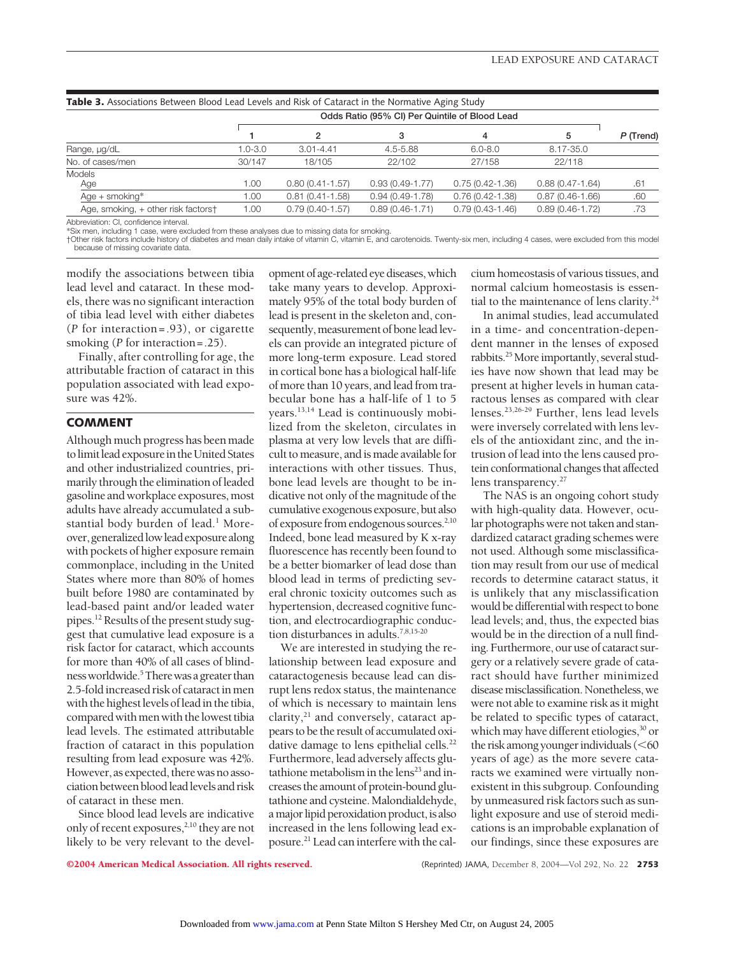| <b>Table 3.</b> Associations Between Blood Lead Levels and Risk of Cataract in the Normative Aging Study<br>Odds Ratio (95% CI) Per Quintile of Blood Lead |                     |                     |                     |                     |           |
|------------------------------------------------------------------------------------------------------------------------------------------------------------|---------------------|---------------------|---------------------|---------------------|-----------|
|                                                                                                                                                            |                     | 3                   | 4                   |                     | P (Trend) |
| $1.0 - 3.0$                                                                                                                                                | $3.01 - 4.41$       | 4.5-5.88            | $6.0 - 8.0$         | 8.17-35.0           |           |
| 30/147                                                                                                                                                     | 18/105              | 22/102              | 27/158              | 22/118              |           |
| 1.00                                                                                                                                                       | $0.80(0.41 - 1.57)$ | $0.93(0.49 - 1.77)$ | $0.75(0.42 - 1.36)$ | $0.88(0.47 - 1.64)$ | .61       |
| 1.00                                                                                                                                                       | $0.81(0.41 - 1.58)$ | $0.94(0.49 - 1.78)$ | $0.76(0.42 - 1.38)$ | $0.87(0.46 - 1.66)$ | .60       |
| 1.00                                                                                                                                                       | $0.79(0.40 - 1.57)$ | $0.89(0.46 - 1.71)$ | $0.79(0.43 - 1.46)$ | $0.89(0.46 - 1.72)$ | .73       |
|                                                                                                                                                            |                     |                     |                     |                     |           |

Abbreviation: CI, confidence interval.

\*Six men, including 1 case, were excluded from these analyses due to missing data for smoking.<br>†Other risk factors include history of diabetes and mean daily intake of vitamin C, vitamin E, and carotenoids. Twenty-six men, because of missing covariate data.

modify the associations between tibia lead level and cataract. In these models, there was no significant interaction of tibia lead level with either diabetes (*P* for interaction=.93), or cigarette smoking (*P* for interaction=.25).

Finally, after controlling for age, the attributable fraction of cataract in this population associated with lead exposure was 42%.

# **COMMENT**

Although much progress has been made to limit lead exposure in the United States and other industrialized countries, primarily through the elimination of leaded gasoline and workplace exposures,most adults have already accumulated a substantial body burden of lead.<sup>1</sup> Moreover, generalized low lead exposure along with pockets of higher exposure remain commonplace, including in the United States where more than 80% of homes built before 1980 are contaminated by lead-based paint and/or leaded water pipes.<sup>12</sup> Results of the present study suggest that cumulative lead exposure is a risk factor for cataract, which accounts for more than 40% of all cases of blindness worldwide.<sup>5</sup> There was a greater than 2.5-foldincreased risk of cataractinmen with the highest levels of lead in the tibia, compared with men with the lowest tibia lead levels. The estimated attributable fraction of cataract in this population resulting from lead exposure was 42%. However, as expected, there was no association between bloodleadlevels and risk of cataract in these men.

Since blood lead levels are indicative only of recent exposures,<sup>2,10</sup> they are not likely to be very relevant to the development of age-related eye diseases, which take many years to develop. Approximately 95% of the total body burden of lead is present in the skeleton and, consequently, measurement of bone lead levels can provide an integrated picture of more long-term exposure. Lead stored in cortical bone has a biological half-life of more than 10 years, and lead from trabecular bone has a half-life of 1 to 5 years.13,14 Lead is continuously mobilized from the skeleton, circulates in plasma at very low levels that are difficult to measure, and is made available for interactions with other tissues. Thus, bone lead levels are thought to be indicative not only of the magnitude of the cumulative exogenous exposure, but also of exposure from endogenous sources.<sup>2,10</sup> Indeed, bone lead measured by K x-ray fluorescence has recently been found to be a better biomarker of lead dose than blood lead in terms of predicting several chronic toxicity outcomes such as hypertension, decreased cognitive function, and electrocardiographic conduction disturbances in adults.7,8,15-20

We are interested in studying the relationship between lead exposure and cataractogenesis because lead can disrupt lens redox status, the maintenance of which is necessary to maintain lens clarity, $21$  and conversely, cataract appears to be the result of accumulated oxidative damage to lens epithelial cells.<sup>22</sup> Furthermore, lead adversely affects glutathione metabolism in the lens<sup>23</sup> and increases the amount of protein-bound glutathione and cysteine. Malondialdehyde, a major lipid peroxidation product, is also increased in the lens following lead exposure.21 Lead can interfere with the calcium homeostasis of various tissues, and normal calcium homeostasis is essential to the maintenance of lens clarity.<sup>24</sup>

In animal studies, lead accumulated in a time- and concentration-dependent manner in the lenses of exposed rabbits.<sup>25</sup> More importantly, several studies have now shown that lead may be present at higher levels in human cataractous lenses as compared with clear lenses.23,26-29 Further, lens lead levels were inversely correlated with lens levels of the antioxidant zinc, and the intrusion of lead into the lens caused protein conformational changes that affected lens transparency.<sup>27</sup>

The NAS is an ongoing cohort study with high-quality data. However, ocular photographs were not taken and standardized cataract grading schemes were not used. Although some misclassification may result from our use of medical records to determine cataract status, it is unlikely that any misclassification would be differential with respect to bone lead levels; and, thus, the expected bias would be in the direction of a null finding. Furthermore, our use of cataract surgery or a relatively severe grade of cataract should have further minimized diseasemisclassification. Nonetheless, we were not able to examine risk as it might be related to specific types of cataract, which may have different etiologies,<sup>30</sup> or the risk among younger individuals (<60 years of age) as the more severe cataracts we examined were virtually nonexistent in this subgroup. Confounding by unmeasured risk factors such as sunlight exposure and use of steroid medications is an improbable explanation of our findings, since these exposures are

©2004 American Medical Association. All rights reserved. (Reprinted) JAMA, December 8, 2004—Vol 292, No. 22 **2753**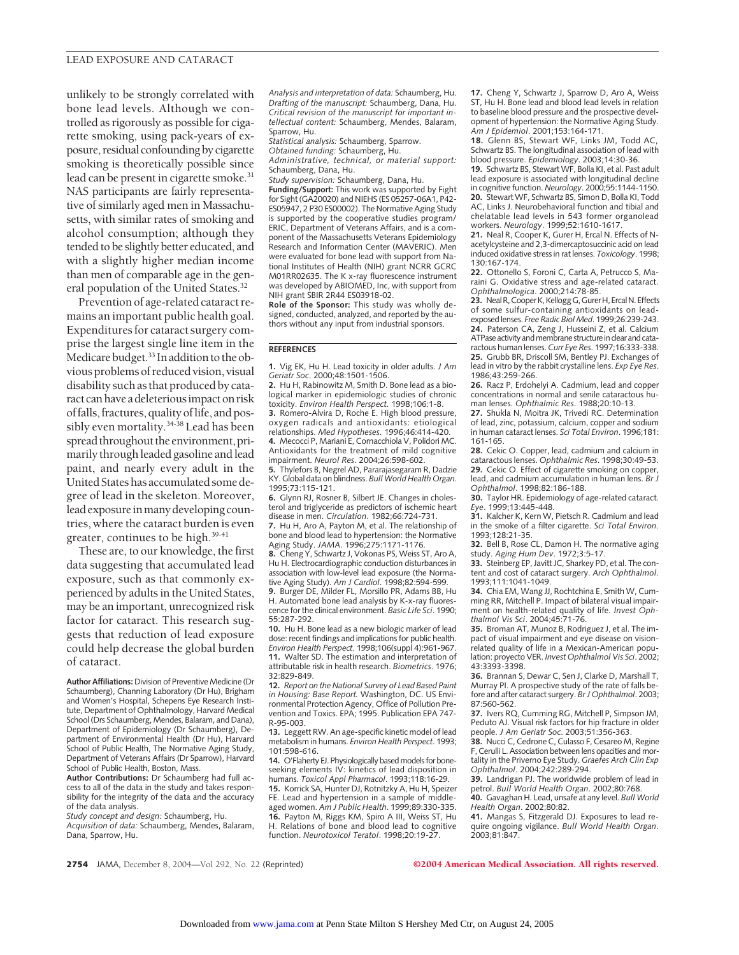#### LEAD EXPOSURE AND CATARACT

unlikely to be strongly correlated with bone lead levels. Although we controlled as rigorously as possible for cigarette smoking, using pack-years of exposure, residual confounding by cigarette smoking is theoretically possible since lead can be present in cigarette smoke.<sup>31</sup> NAS participants are fairly representative of similarly aged men in Massachusetts, with similar rates of smoking and alcohol consumption; although they tended to be slightly better educated, and with a slightly higher median income than men of comparable age in the general population of the United States.32

Prevention of age-related cataract remains an important public health goal. Expenditures for cataract surgery comprise the largest single line item in the Medicare budget.<sup>33</sup> In addition to the obvious problems of reduced vision, visual disability such as that produced by cataract can have a deleterious impact on risk of falls, fractures, quality of life, and possibly even mortality.<sup>34-38</sup> Lead has been spread throughout the environment, primarily through leaded gasoline and lead paint, and nearly every adult in the United States has accumulated some degree of lead in the skeleton. Moreover, lead exposure in many developing countries, where the cataract burden is even greater, continues to be high.<sup>39-41</sup>

These are, to our knowledge, the first data suggesting that accumulated lead exposure, such as that commonly experienced by adults in the United States, may be an important, unrecognized risk factor for cataract. This research suggests that reduction of lead exposure could help decrease the global burden of cataract.

**Author Affiliations:** Division of Preventive Medicine (Dr Schaumberg), Channing Laboratory (Dr Hu), Brigham and Women's Hospital, Schepens Eye Research Institute, Department of Ophthalmology, Harvard Medical School (Drs Schaumberg, Mendes, Balaram, and Dana), Department of Epidemiology (Dr Schaumberg), Department of Environmental Health (Dr Hu), Harvard School of Public Health, The Normative Aging Study, Department of Veterans Affairs (Dr Sparrow), Harvard School of Public Health, Boston, Mass.

**Author Contributions:** Dr Schaumberg had full access to all of the data in the study and takes responsibility for the integrity of the data and the accuracy of the data analysis.

*Acquisition of data:* Schaumberg, Mendes, Balaram, Dana, Sparrow, Hu.

*Analysis and interpretation of data:* Schaumberg, Hu. *Drafting of the manuscript:* Schaumberg, Dana, Hu. *Critical revision of the manuscript for important intellectual content:* Schaumberg, Mendes, Balaram, Sparrow, Hu.

*Statistical analysis:* Schaumberg, Sparrow.

*Obtained funding:* Schaumberg, Hu.

*Administrative, technical, or material support:* Schaumberg, Dana, Hu.

*Study supervision:* Schaumberg, Dana, Hu.

**Funding/Support:** This work was supported by Fight for Sight (GA20020) and NIEHS (ES 05257-06A1, P42- ES05947, 2 P30 ES00002). The Normative Aging Study is supported by the cooperative studies program/ ERIC, Department of Veterans Affairs, and is a component of the Massachusetts Veterans Epidemiology Research and Information Center (MAVERIC). Men were evaluated for bone lead with support from National Institutes of Health (NIH) grant NCRR GCRC M01RR02635. The K x-ray fluorescence instrument was developed by ABIOMED, Inc, with support from NIH grant SBIR 2R44 ES03918-02.

**Role of the Sponsor:** This study was wholly designed, conducted, analyzed, and reported by the authors without any input from industrial sponsors.

#### **REFERENCES**

**1.** Vig EK, Hu H. Lead toxicity in older adults. *J Am Geriatr Soc*. 2000;48:1501-1506.

**2.** Hu H, Rabinowitz M, Smith D. Bone lead as a biological marker in epidemiologic studies of chronic toxicity. *Environ Health Perspect*. 1998;106:1-8.

**3.** Romero-Alvira D, Roche E. High blood pressure, oxygen radicals and antioxidants: etiological relationships. *Med Hypotheses*. 1996;46:414-420. **4.** Mecocci P, Mariani E, Cornacchiola V, Polidori MC. Antioxidants for the treatment of mild cognitive

impairment. *Neurol Res*. 2004;26:598-602. **5.** Thylefors B, Negrel AD, Pararajasegaram R, Dadzie KY. Global data on blindness. *BullWorld Health Organ*.

1995;73:115-121. **6.** Glynn RJ, Rosner B, Silbert JE. Changes in choles-

terol and triglyceride as predictors of ischemic heart disease in men. *Circulation*. 1982;66:724-731.

**7.** Hu H, Aro A, Payton M, et al. The relationship of bone and blood lead to hypertension: the Normative Aging Study. *JAMA*. 1996;275:1171-1176.

**8.** Cheng Y, Schwartz J, Vokonas PS, Weiss ST, Aro A, Hu H. Electrocardiographic conduction disturbances in association with low-level lead exposure (the Normative Aging Study). *Am J Cardiol*. 1998;82:594-599.

**9.** Burger DE, Milder FL, Morsillo PR, Adams BB, Hu H. Automated bone lead analysis by K-x-ray fluorescence for the clinical environment. *Basic Life Sci*. 1990; 55:287-292.

**10.** Hu H. Bone lead as a new biologic marker of lead dose: recent findings and implications for public health. *Environ Health Perspect*. 1998;106(suppl 4):961-967. **11.** Walter SD. The estimation and interpretation of attributable risk in health research. *Biometrics*. 1976; 32:829-849.

**12.** *Report on the National Survey of Lead Based Paint in Housing: Base Report.* Washington, DC. US Environmental Protection Agency, Office of Pollution Prevention and Toxics. EPA; 1995. Publication EPA 747- R-95-003.

**13.** Leggett RW. An age-specific kinetic model of lead metabolism in humans. *Environ Health Perspect*. 1993; 101:598-616.

14. O'Flaherty EJ. Physiologically based models for boneseeking elements IV: kinetics of lead disposition in humans. *Toxicol Appl Pharmacol*. 1993;118:16-29.

**15.** Korrick SA, Hunter DJ, Rotnitzky A, Hu H, Speizer FE. Lead and hypertension in a sample of middleaged women. *Am J Public Health*. 1999;89:330-335. **16.** Payton M, Riggs KM, Spiro A III, Weiss ST, Hu H. Relations of bone and blood lead to cognitive function. *Neurotoxicol Teratol*. 1998;20:19-27.

**17.** Cheng Y, Schwartz J, Sparrow D, Aro A, Weiss ST, Hu H. Bone lead and blood lead levels in relation to baseline blood pressure and the prospective development of hypertension: the Normative Aging Study. *Am J Epidemiol*. 2001;153:164-171.

**18.** Glenn BS, Stewart WF, Links JM, Todd AC, Schwartz BS. The longitudinal association of lead with blood pressure. *Epidemiology*. 2003;14:30-36. **19.** Schwartz BS, Stewart WF, Bolla KI, et al. Past adult

lead exposure is associated with longitudinal decline in cognitive function. *Neurology*. 2000;55:1144-1150. **20.** Stewart WF, Schwartz BS, Simon D, Bolla KI, Todd AC, Links J. Neurobehavioral function and tibial and chelatable lead levels in 543 former organolead workers. *Neurology*. 1999;52:1610-1617.

**21.** Neal R, Cooper K, Gurer H, Ercal N. Effects of Nacetylcysteine and 2,3-dimercaptosuccinic acid on lead induced oxidative stress in rat lenses. *Toxicology*. 1998; 130:167-174.

**22.** Ottonello S, Foroni C, Carta A, Petrucco S, Maraini G. Oxidative stress and age-related cataract. *Ophthalmologica*. 2000;214:78-85.

**23.** Neal R,Cooper K, Kellogg G, Gurer H, Ercal N. Effects of some sulfur-containing antioxidants on leadexposed lenses. *Free Radic BiolMed*. 1999;26:239-243. **24.** Paterson CA, Zeng J, Husseini Z, et al. Calcium ATPase activity and membrane structure in clear and cataractous human lenses. *Curr Eye Res*. 1997;16:333-338. **25.** Grubb BR, Driscoll SM, Bentley PJ. Exchanges of lead in vitro by the rabbit crystalline lens. *Exp Eye Res*. 1986;43:259-266.

**26.** Racz P, Erdohelyi A. Cadmium, lead and copper concentrations in normal and senile cataractous human lenses. *Ophthalmic Res*. 1988;20:10-13.

**27.** Shukla N, Moitra JK, Trivedi RC. Determination of lead, zinc, potassium, calcium, copper and sodium in human cataract lenses. *Sci Total Environ*. 1996;181: 161-165.

**28.** Cekic O. Copper, lead, cadmium and calcium in cataractous lenses. *Ophthalmic Res*. 1998;30:49-53. **29.** Cekic O. Effect of cigarette smoking on copper, lead, and cadmium accumulation in human lens. *Br J Ophthalmol*. 1998;82:186-188.

**30.** Taylor HR. Epidemiology of age-related cataract. *Eye*. 1999;13:445-448.

**31.** Kalcher K, Kern W, Pietsch R. Cadmium and lead in the smoke of a filter cigarette. *Sci Total Environ*. 1993;128:21-35.

**32.** Bell B, Rose CL, Damon H. The normative aging study. *Aging Hum Dev*. 1972;3:5-17.

**33.** Steinberg EP, Javitt JC, Sharkey PD, et al. The content and cost of cataract surgery. *Arch Ophthalmol*. 1993;111:1041-1049.

**34.** Chia EM, Wang JJ, Rochtchina E, Smith W, Cumming RR, Mitchell P. Impact of bilateral visual impairment on health-related quality of life. *Invest Ophthalmol Vis Sci*. 2004;45:71-76.

**35.** Broman AT, Munoz B, Rodriguez J, et al. The impact of visual impairment and eye disease on visionrelated quality of life in a Mexican-American population: proyecto VER. *Invest Ophthalmol Vis Sci*. 2002; 43:3393-3398.

**36.** Brannan S, Dewar C, Sen J, Clarke D, Marshall T, Murray PI. A prospective study of the rate of falls before and after cataract surgery. *Br J Ophthalmol*. 2003; 87:560-562.

**37.** Ivers RQ, Cumming RG, Mitchell P, Simpson JM, Peduto AJ. Visual risk factors for hip fracture in older people. *J Am Geriatr Soc*. 2003;51:356-363.

**38.** Nucci C, Cedrone C, Culasso F, Cesareo M, Regine F, Cerulli L. Association between lens opacities and mortality in the Priverno Eye Study. *Graefes Arch Clin Exp Ophthalmol*. 2004;242:289-294.

**39.** Landrigan PJ. The worldwide problem of lead in petrol. *Bull World Health Organ*. 2002;80:768.

**40.** Gavaghan H. Lead, unsafe at any level. *Bull World Health Organ*. 2002;80:82.

**41.** Mangas S, Fitzgerald DJ. Exposures to lead require ongoing vigilance. *Bull World Health Organ*. 2003;81:847.

#### **2754** JAMA, December 8, 2004—Vol 292, No. 22 (Reprinted) ©2004 American Medical Association. All rights reserved.

*Study concept and design:* Schaumberg, Hu.